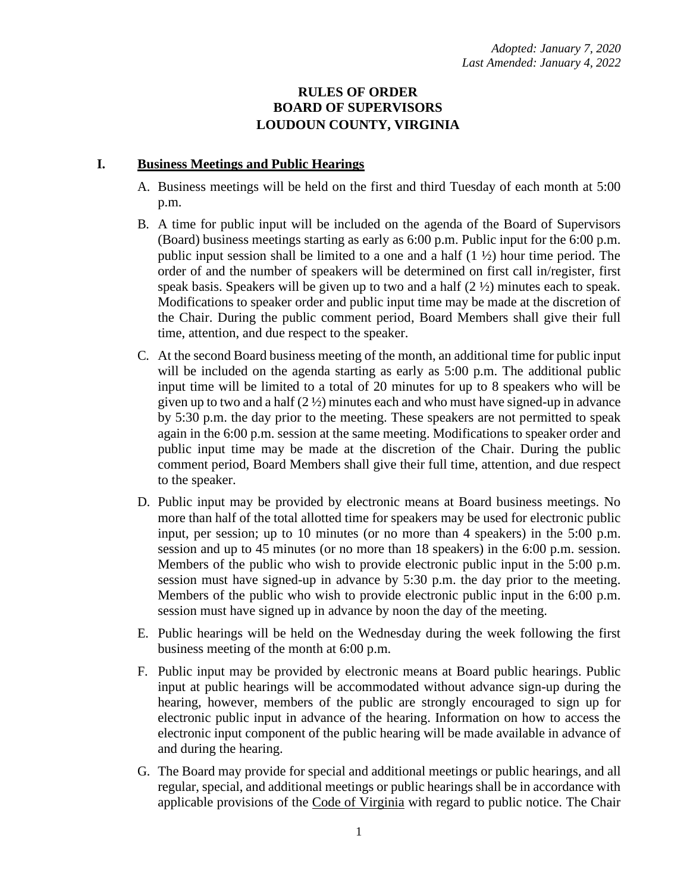# **RULES OF ORDER BOARD OF SUPERVISORS LOUDOUN COUNTY, VIRGINIA**

# **I. Business Meetings and Public Hearings**

- A. Business meetings will be held on the first and third Tuesday of each month at 5:00 p.m.
- B. A time for public input will be included on the agenda of the Board of Supervisors (Board) business meetings starting as early as 6:00 p.m. Public input for the 6:00 p.m. public input session shall be limited to a one and a half (1 ½) hour time period. The order of and the number of speakers will be determined on first call in/register, first speak basis. Speakers will be given up to two and a half  $(2 \frac{1}{2})$  minutes each to speak. Modifications to speaker order and public input time may be made at the discretion of the Chair. During the public comment period, Board Members shall give their full time, attention, and due respect to the speaker.
- C. At the second Board business meeting of the month, an additional time for public input will be included on the agenda starting as early as 5:00 p.m. The additional public input time will be limited to a total of 20 minutes for up to 8 speakers who will be given up to two and a half  $(2 \frac{1}{2})$  minutes each and who must have signed-up in advance by 5:30 p.m. the day prior to the meeting. These speakers are not permitted to speak again in the 6:00 p.m. session at the same meeting. Modifications to speaker order and public input time may be made at the discretion of the Chair. During the public comment period, Board Members shall give their full time, attention, and due respect to the speaker.
- D. Public input may be provided by electronic means at Board business meetings. No more than half of the total allotted time for speakers may be used for electronic public input, per session; up to 10 minutes (or no more than 4 speakers) in the 5:00 p.m. session and up to 45 minutes (or no more than 18 speakers) in the 6:00 p.m. session. Members of the public who wish to provide electronic public input in the 5:00 p.m. session must have signed-up in advance by 5:30 p.m. the day prior to the meeting. Members of the public who wish to provide electronic public input in the 6:00 p.m. session must have signed up in advance by noon the day of the meeting.
- E. Public hearings will be held on the Wednesday during the week following the first business meeting of the month at 6:00 p.m.
- F. Public input may be provided by electronic means at Board public hearings. Public input at public hearings will be accommodated without advance sign-up during the hearing, however, members of the public are strongly encouraged to sign up for electronic public input in advance of the hearing. Information on how to access the electronic input component of the public hearing will be made available in advance of and during the hearing.
- G. The Board may provide for special and additional meetings or public hearings, and all regular, special, and additional meetings or public hearings shall be in accordance with applicable provisions of the Code of Virginia with regard to public notice. The Chair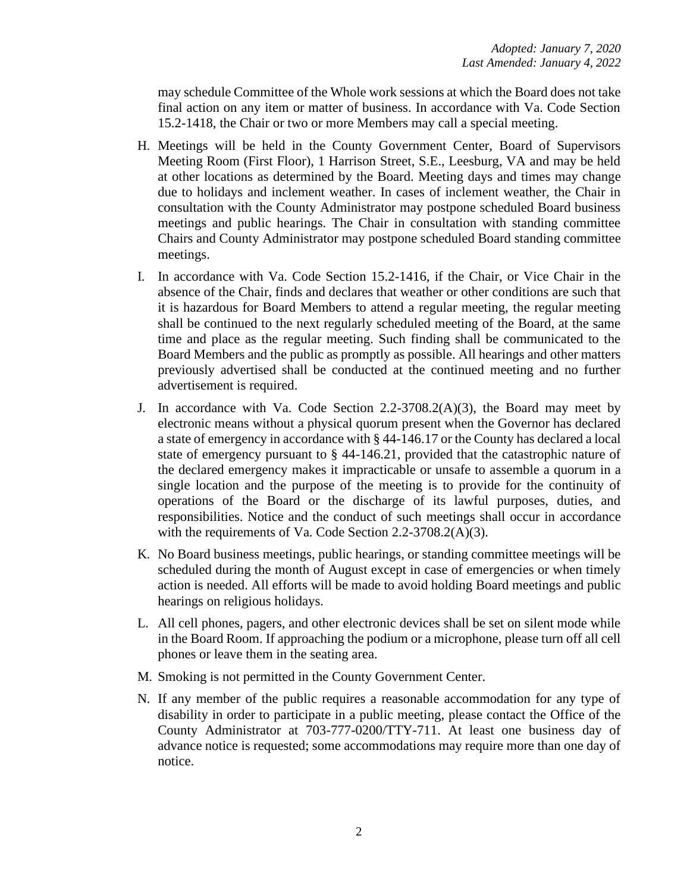may schedule Committee of the Whole work sessions at which the Board does not take final action on any item or matter of business. In accordance with Va. Code Section 15.2-1418, the Chair or two or more Members may call a special meeting.

- H. Meetings will be held in the County Government Center, Board of Supervisors Meeting Room (First Floor), 1 Harrison Street, S.E., Leesburg, VA and may be held at other locations as determined by the Board. Meeting days and times may change due to holidays and inclement weather. In cases of inclement weather, the Chair in consultation with the County Administrator may postpone scheduled Board business meetings and public hearings. The Chair in consultation with standing committee Chairs and County Administrator may postpone scheduled Board standing committee meetings.
- I. In accordance with Va. Code Section 15.2-1416, if the Chair, or Vice Chair in the absence of the Chair, finds and declares that weather or other conditions are such that it is hazardous for Board Members to attend a regular meeting, the regular meeting shall be continued to the next regularly scheduled meeting of the Board, at the same time and place as the regular meeting. Such finding shall be communicated to the Board Members and the public as promptly as possible. All hearings and other matters previously advertised shall be conducted at the continued meeting and no further advertisement is required.
- J. In accordance with Va. Code Section 2.2-3708.2(A)(3), the Board may meet by electronic means without a physical quorum present when the Governor has declared a state of emergency in accordance with § 44-146.17 or the County has declared a local state of emergency pursuant to § 44-146.21, provided that the catastrophic nature of the declared emergency makes it impracticable or unsafe to assemble a quorum in a single location and the purpose of the meeting is to provide for the continuity of operations of the Board or the discharge of its lawful purposes, duties, and responsibilities. Notice and the conduct of such meetings shall occur in accordance with the requirements of Va. Code Section 2.2-3708.2(A)(3).
- K. No Board business meetings, public hearings, or standing committee meetings will be scheduled during the month of August except in case of emergencies or when timely action is needed. All efforts will be made to avoid holding Board meetings and public hearings on religious holidays.
- L. All cell phones, pagers, and other electronic devices shall be set on silent mode while in the Board Room. If approaching the podium or a microphone, please turn off all cell phones or leave them in the seating area.
- M. Smoking is not permitted in the County Government Center.
- N. If any member of the public requires a reasonable accommodation for any type of disability in order to participate in a public meeting, please contact the Office of the County Administrator at 703-777-0200/TTY-711. At least one business day of advance notice is requested; some accommodations may require more than one day of notice.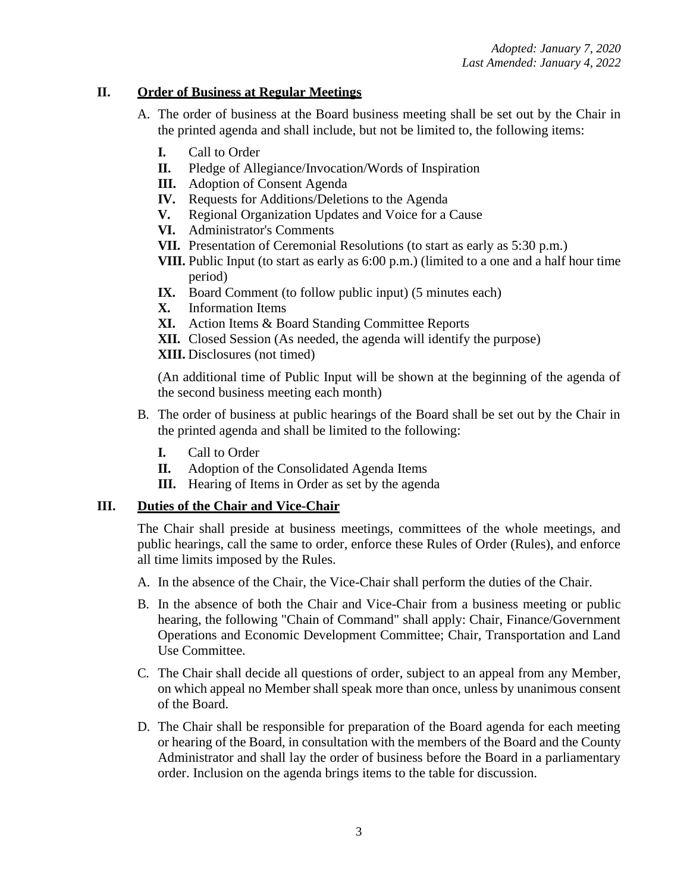## **II. Order of Business at Regular Meetings**

- A. The order of business at the Board business meeting shall be set out by the Chair in the printed agenda and shall include, but not be limited to, the following items:
	- **I.** Call to Order
	- **II.** Pledge of Allegiance/Invocation/Words of Inspiration
	- **III.** Adoption of Consent Agenda
	- **IV.** Requests for Additions/Deletions to the Agenda
	- **V.** Regional Organization Updates and Voice for a Cause
	- **VI.** Administrator's Comments
	- **VII.** Presentation of Ceremonial Resolutions (to start as early as 5:30 p.m.)
	- **VIII.** Public Input (to start as early as 6:00 p.m.) (limited to a one and a half hour time period)
	- **IX.** Board Comment (to follow public input) (5 minutes each)
	- **X.** Information Items
	- **XI.** Action Items & Board Standing Committee Reports
	- **XII.** Closed Session (As needed, the agenda will identify the purpose)
	- **XIII.** Disclosures (not timed)

(An additional time of Public Input will be shown at the beginning of the agenda of the second business meeting each month)

- B. The order of business at public hearings of the Board shall be set out by the Chair in the printed agenda and shall be limited to the following:
	- **I.** Call to Order
	- **II.** Adoption of the Consolidated Agenda Items
	- **III.** Hearing of Items in Order as set by the agenda

## **III. Duties of the Chair and Vice-Chair**

The Chair shall preside at business meetings, committees of the whole meetings, and public hearings, call the same to order, enforce these Rules of Order (Rules), and enforce all time limits imposed by the Rules.

- A. In the absence of the Chair, the Vice-Chair shall perform the duties of the Chair.
- B. In the absence of both the Chair and Vice-Chair from a business meeting or public hearing, the following "Chain of Command" shall apply: Chair, Finance/Government Operations and Economic Development Committee; Chair, Transportation and Land Use Committee.
- C. The Chair shall decide all questions of order, subject to an appeal from any Member, on which appeal no Member shall speak more than once, unless by unanimous consent of the Board.
- D. The Chair shall be responsible for preparation of the Board agenda for each meeting or hearing of the Board, in consultation with the members of the Board and the County Administrator and shall lay the order of business before the Board in a parliamentary order. Inclusion on the agenda brings items to the table for discussion.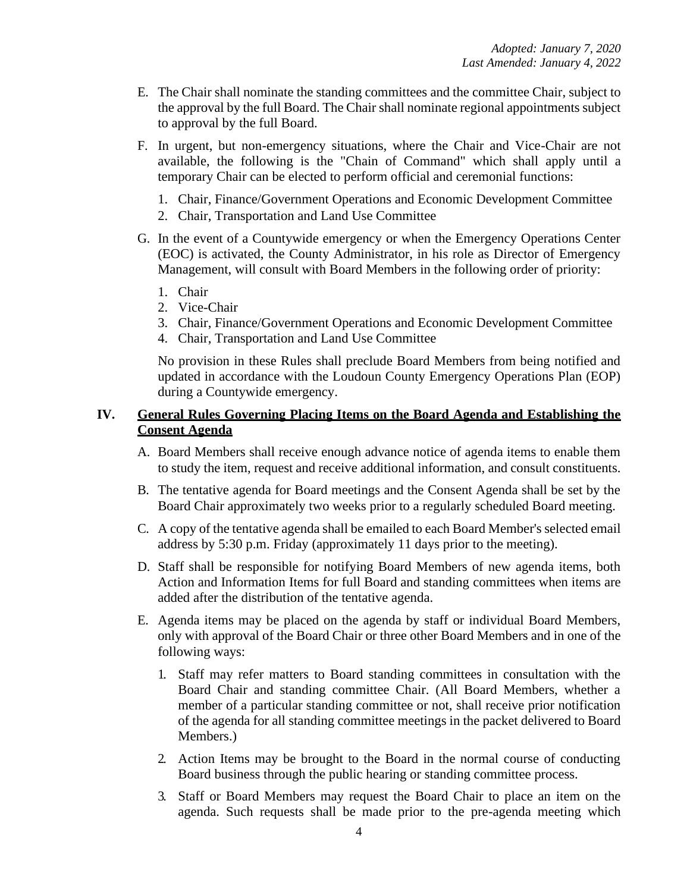- E. The Chair shall nominate the standing committees and the committee Chair, subject to the approval by the full Board. The Chair shall nominate regional appointments subject to approval by the full Board.
- F. In urgent, but non-emergency situations, where the Chair and Vice-Chair are not available, the following is the "Chain of Command" which shall apply until a temporary Chair can be elected to perform official and ceremonial functions:
	- 1. Chair, Finance/Government Operations and Economic Development Committee
	- 2. Chair, Transportation and Land Use Committee
- G. In the event of a Countywide emergency or when the Emergency Operations Center (EOC) is activated, the County Administrator, in his role as Director of Emergency Management, will consult with Board Members in the following order of priority:
	- 1. Chair
	- 2. Vice-Chair
	- 3. Chair, Finance/Government Operations and Economic Development Committee
	- 4. Chair, Transportation and Land Use Committee

No provision in these Rules shall preclude Board Members from being notified and updated in accordance with the Loudoun County Emergency Operations Plan (EOP) during a Countywide emergency.

## **IV. General Rules Governing Placing Items on the Board Agenda and Establishing the Consent Agenda**

- A. Board Members shall receive enough advance notice of agenda items to enable them to study the item, request and receive additional information, and consult constituents.
- B. The tentative agenda for Board meetings and the Consent Agenda shall be set by the Board Chair approximately two weeks prior to a regularly scheduled Board meeting.
- C. A copy of the tentative agenda shall be emailed to each Board Member's selected email address by 5:30 p.m. Friday (approximately 11 days prior to the meeting).
- D. Staff shall be responsible for notifying Board Members of new agenda items, both Action and Information Items for full Board and standing committees when items are added after the distribution of the tentative agenda.
- E. Agenda items may be placed on the agenda by staff or individual Board Members, only with approval of the Board Chair or three other Board Members and in one of the following ways:
	- 1. Staff may refer matters to Board standing committees in consultation with the Board Chair and standing committee Chair. (All Board Members, whether a member of a particular standing committee or not, shall receive prior notification of the agenda for all standing committee meetings in the packet delivered to Board Members.)
	- 2. Action Items may be brought to the Board in the normal course of conducting Board business through the public hearing or standing committee process.
	- 3. Staff or Board Members may request the Board Chair to place an item on the agenda. Such requests shall be made prior to the pre-agenda meeting which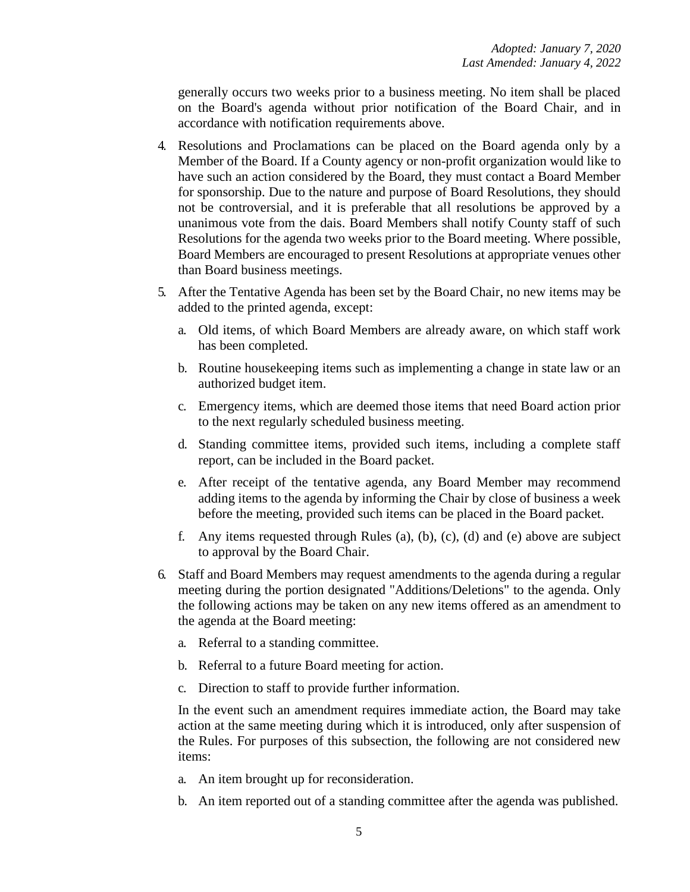generally occurs two weeks prior to a business meeting. No item shall be placed on the Board's agenda without prior notification of the Board Chair, and in accordance with notification requirements above.

- 4. Resolutions and Proclamations can be placed on the Board agenda only by a Member of the Board. If a County agency or non-profit organization would like to have such an action considered by the Board, they must contact a Board Member for sponsorship. Due to the nature and purpose of Board Resolutions, they should not be controversial, and it is preferable that all resolutions be approved by a unanimous vote from the dais. Board Members shall notify County staff of such Resolutions for the agenda two weeks prior to the Board meeting. Where possible, Board Members are encouraged to present Resolutions at appropriate venues other than Board business meetings.
- 5. After the Tentative Agenda has been set by the Board Chair, no new items may be added to the printed agenda, except:
	- a. Old items, of which Board Members are already aware, on which staff work has been completed.
	- b. Routine housekeeping items such as implementing a change in state law or an authorized budget item.
	- c. Emergency items, which are deemed those items that need Board action prior to the next regularly scheduled business meeting.
	- d. Standing committee items, provided such items, including a complete staff report, can be included in the Board packet.
	- e. After receipt of the tentative agenda, any Board Member may recommend adding items to the agenda by informing the Chair by close of business a week before the meeting, provided such items can be placed in the Board packet.
	- f. Any items requested through Rules (a), (b), (c), (d) and (e) above are subject to approval by the Board Chair.
- 6. Staff and Board Members may request amendments to the agenda during a regular meeting during the portion designated "Additions/Deletions" to the agenda. Only the following actions may be taken on any new items offered as an amendment to the agenda at the Board meeting:
	- a. Referral to a standing committee.
	- b. Referral to a future Board meeting for action.
	- c. Direction to staff to provide further information.

In the event such an amendment requires immediate action, the Board may take action at the same meeting during which it is introduced, only after suspension of the Rules. For purposes of this subsection, the following are not considered new items:

- a. An item brought up for reconsideration.
- b. An item reported out of a standing committee after the agenda was published.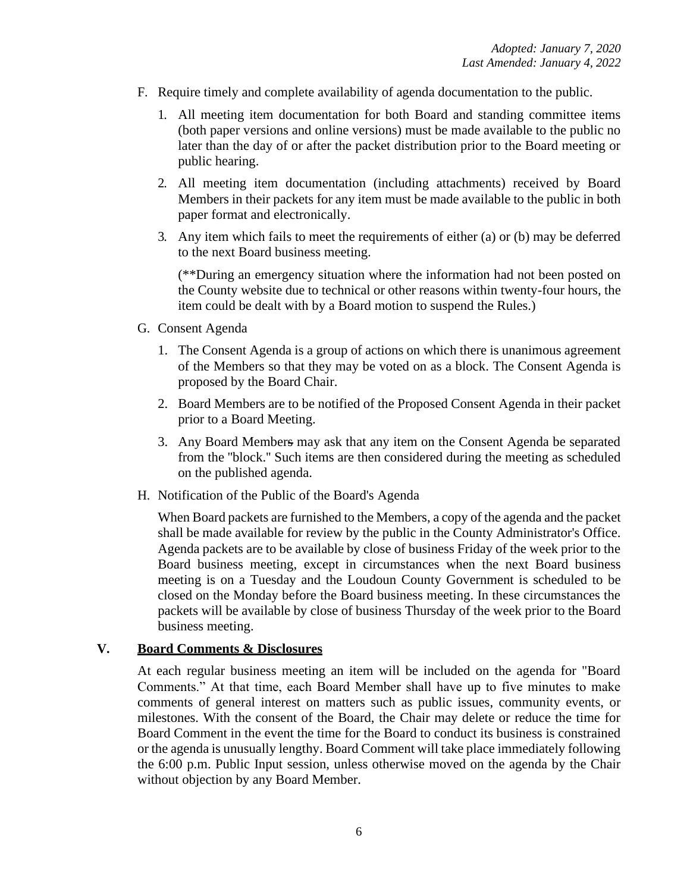- F. Require timely and complete availability of agenda documentation to the public.
	- 1. All meeting item documentation for both Board and standing committee items (both paper versions and online versions) must be made available to the public no later than the day of or after the packet distribution prior to the Board meeting or public hearing.
	- 2. All meeting item documentation (including attachments) received by Board Members in their packets for any item must be made available to the public in both paper format and electronically.
	- 3. Any item which fails to meet the requirements of either (a) or (b) may be deferred to the next Board business meeting.

(\*\*During an emergency situation where the information had not been posted on the County website due to technical or other reasons within twenty-four hours, the item could be dealt with by a Board motion to suspend the Rules.)

- G. Consent Agenda
	- 1. The Consent Agenda is a group of actions on which there is unanimous agreement of the Members so that they may be voted on as a block. The Consent Agenda is proposed by the Board Chair.
	- 2. Board Members are to be notified of the Proposed Consent Agenda in their packet prior to a Board Meeting.
	- 3. Any Board Members may ask that any item on the Consent Agenda be separated from the ''block.'' Such items are then considered during the meeting as scheduled on the published agenda.
- H. Notification of the Public of the Board's Agenda

When Board packets are furnished to the Members, a copy of the agenda and the packet shall be made available for review by the public in the County Administrator's Office. Agenda packets are to be available by close of business Friday of the week prior to the Board business meeting, except in circumstances when the next Board business meeting is on a Tuesday and the Loudoun County Government is scheduled to be closed on the Monday before the Board business meeting. In these circumstances the packets will be available by close of business Thursday of the week prior to the Board business meeting.

#### **V. Board Comments & Disclosures**

At each regular business meeting an item will be included on the agenda for "Board Comments." At that time, each Board Member shall have up to five minutes to make comments of general interest on matters such as public issues, community events, or milestones. With the consent of the Board, the Chair may delete or reduce the time for Board Comment in the event the time for the Board to conduct its business is constrained or the agenda is unusually lengthy. Board Comment will take place immediately following the 6:00 p.m. Public Input session, unless otherwise moved on the agenda by the Chair without objection by any Board Member.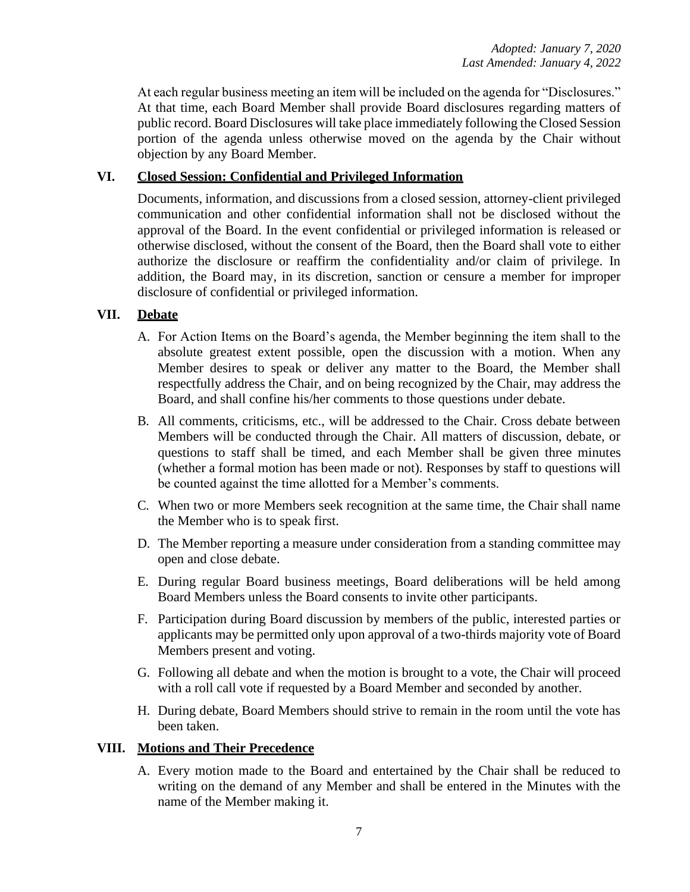At each regular business meeting an item will be included on the agenda for "Disclosures." At that time, each Board Member shall provide Board disclosures regarding matters of public record. Board Disclosures will take place immediately following the Closed Session portion of the agenda unless otherwise moved on the agenda by the Chair without objection by any Board Member.

## **VI. Closed Session: Confidential and Privileged Information**

Documents, information, and discussions from a closed session, attorney-client privileged communication and other confidential information shall not be disclosed without the approval of the Board. In the event confidential or privileged information is released or otherwise disclosed, without the consent of the Board, then the Board shall vote to either authorize the disclosure or reaffirm the confidentiality and/or claim of privilege. In addition, the Board may, in its discretion, sanction or censure a member for improper disclosure of confidential or privileged information.

### **VII. Debate**

- A. For Action Items on the Board's agenda, the Member beginning the item shall to the absolute greatest extent possible, open the discussion with a motion. When any Member desires to speak or deliver any matter to the Board, the Member shall respectfully address the Chair, and on being recognized by the Chair, may address the Board, and shall confine his/her comments to those questions under debate.
- B. All comments, criticisms, etc., will be addressed to the Chair. Cross debate between Members will be conducted through the Chair. All matters of discussion, debate, or questions to staff shall be timed, and each Member shall be given three minutes (whether a formal motion has been made or not). Responses by staff to questions will be counted against the time allotted for a Member's comments.
- C. When two or more Members seek recognition at the same time, the Chair shall name the Member who is to speak first.
- D. The Member reporting a measure under consideration from a standing committee may open and close debate.
- E. During regular Board business meetings, Board deliberations will be held among Board Members unless the Board consents to invite other participants.
- F. Participation during Board discussion by members of the public, interested parties or applicants may be permitted only upon approval of a two-thirds majority vote of Board Members present and voting.
- G. Following all debate and when the motion is brought to a vote, the Chair will proceed with a roll call vote if requested by a Board Member and seconded by another.
- H. During debate, Board Members should strive to remain in the room until the vote has been taken.

#### **VIII. Motions and Their Precedence**

A. Every motion made to the Board and entertained by the Chair shall be reduced to writing on the demand of any Member and shall be entered in the Minutes with the name of the Member making it.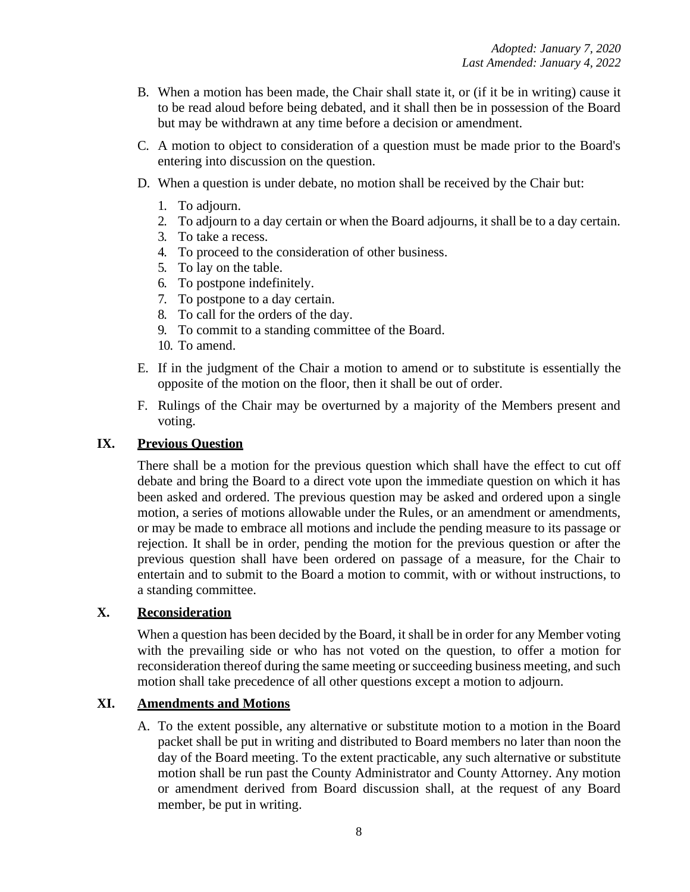- B. When a motion has been made, the Chair shall state it, or (if it be in writing) cause it to be read aloud before being debated, and it shall then be in possession of the Board but may be withdrawn at any time before a decision or amendment.
- C. A motion to object to consideration of a question must be made prior to the Board's entering into discussion on the question.
- D. When a question is under debate, no motion shall be received by the Chair but:
	- 1. To adjourn.
	- 2. To adjourn to a day certain or when the Board adjourns, it shall be to a day certain.
	- 3. To take a recess.
	- 4. To proceed to the consideration of other business.
	- 5. To lay on the table.
	- 6. To postpone indefinitely.
	- 7. To postpone to a day certain.
	- 8. To call for the orders of the day.
	- 9. To commit to a standing committee of the Board.
	- 10. To amend.
- E. If in the judgment of the Chair a motion to amend or to substitute is essentially the opposite of the motion on the floor, then it shall be out of order.
- F. Rulings of the Chair may be overturned by a majority of the Members present and voting.

### **IX. Previous Question**

There shall be a motion for the previous question which shall have the effect to cut off debate and bring the Board to a direct vote upon the immediate question on which it has been asked and ordered. The previous question may be asked and ordered upon a single motion, a series of motions allowable under the Rules, or an amendment or amendments, or may be made to embrace all motions and include the pending measure to its passage or rejection. It shall be in order, pending the motion for the previous question or after the previous question shall have been ordered on passage of a measure, for the Chair to entertain and to submit to the Board a motion to commit, with or without instructions, to a standing committee.

# **X. Reconsideration**

When a question has been decided by the Board, it shall be in order for any Member voting with the prevailing side or who has not voted on the question, to offer a motion for reconsideration thereof during the same meeting or succeeding business meeting, and such motion shall take precedence of all other questions except a motion to adjourn.

#### **XI. Amendments and Motions**

A. To the extent possible, any alternative or substitute motion to a motion in the Board packet shall be put in writing and distributed to Board members no later than noon the day of the Board meeting. To the extent practicable, any such alternative or substitute motion shall be run past the County Administrator and County Attorney. Any motion or amendment derived from Board discussion shall, at the request of any Board member, be put in writing.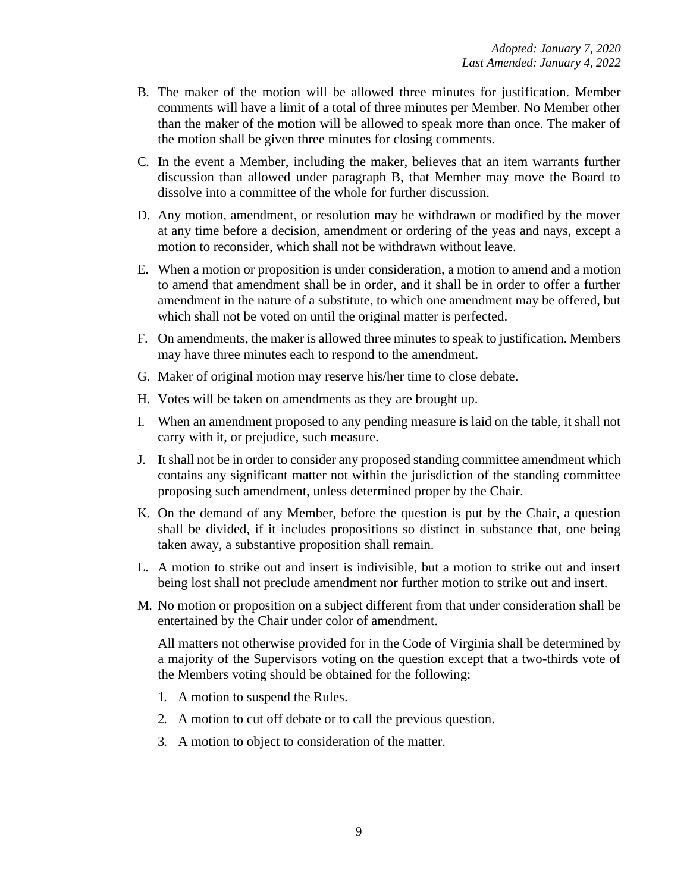- B. The maker of the motion will be allowed three minutes for justification. Member comments will have a limit of a total of three minutes per Member. No Member other than the maker of the motion will be allowed to speak more than once. The maker of the motion shall be given three minutes for closing comments.
- C. In the event a Member, including the maker, believes that an item warrants further discussion than allowed under paragraph B, that Member may move the Board to dissolve into a committee of the whole for further discussion.
- D. Any motion, amendment, or resolution may be withdrawn or modified by the mover at any time before a decision, amendment or ordering of the yeas and nays, except a motion to reconsider, which shall not be withdrawn without leave.
- E. When a motion or proposition is under consideration, a motion to amend and a motion to amend that amendment shall be in order, and it shall be in order to offer a further amendment in the nature of a substitute, to which one amendment may be offered, but which shall not be voted on until the original matter is perfected.
- F. On amendments, the maker is allowed three minutes to speak to justification. Members may have three minutes each to respond to the amendment.
- G. Maker of original motion may reserve his/her time to close debate.
- H. Votes will be taken on amendments as they are brought up.
- I. When an amendment proposed to any pending measure is laid on the table, it shall not carry with it, or prejudice, such measure.
- J. It shall not be in order to consider any proposed standing committee amendment which contains any significant matter not within the jurisdiction of the standing committee proposing such amendment, unless determined proper by the Chair.
- K. On the demand of any Member, before the question is put by the Chair, a question shall be divided, if it includes propositions so distinct in substance that, one being taken away, a substantive proposition shall remain.
- L. A motion to strike out and insert is indivisible, but a motion to strike out and insert being lost shall not preclude amendment nor further motion to strike out and insert.
- M. No motion or proposition on a subject different from that under consideration shall be entertained by the Chair under color of amendment.

All matters not otherwise provided for in the Code of Virginia shall be determined by a majority of the Supervisors voting on the question except that a two-thirds vote of the Members voting should be obtained for the following:

- 1. A motion to suspend the Rules.
- 2. A motion to cut off debate or to call the previous question.
- 3. A motion to object to consideration of the matter.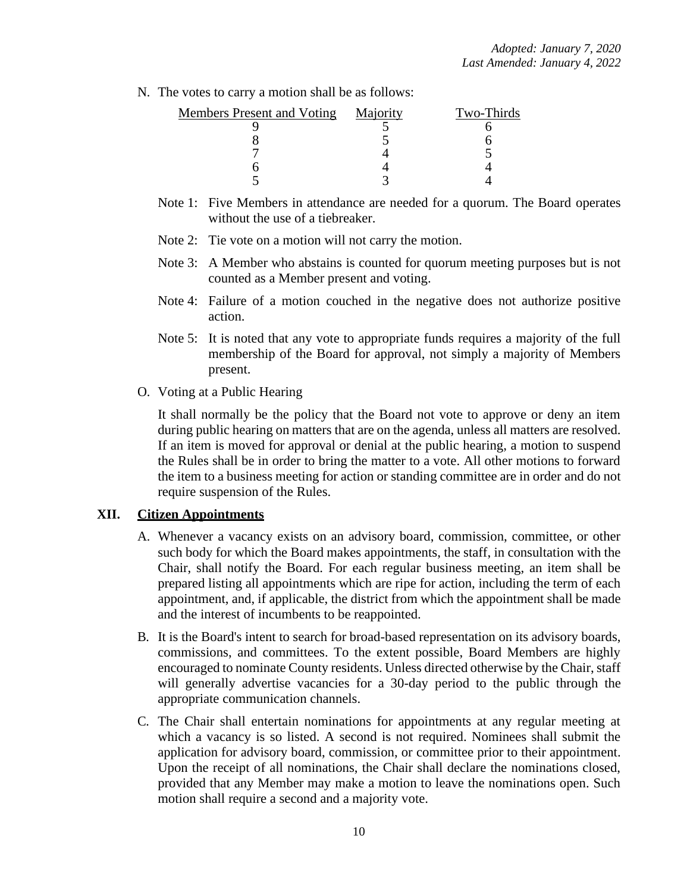N. The votes to carry a motion shall be as follows:

| <b>Members Present and Voting</b> | Majority | Two-Thirds |
|-----------------------------------|----------|------------|
|                                   |          |            |
|                                   |          |            |
|                                   |          |            |
|                                   |          |            |
|                                   |          |            |

- Note 1: Five Members in attendance are needed for a quorum. The Board operates without the use of a tiebreaker.
- Note 2: Tie vote on a motion will not carry the motion.
- Note 3: A Member who abstains is counted for quorum meeting purposes but is not counted as a Member present and voting.
- Note 4: Failure of a motion couched in the negative does not authorize positive action.
- Note 5: It is noted that any vote to appropriate funds requires a majority of the full membership of the Board for approval, not simply a majority of Members present.
- O. Voting at a Public Hearing

It shall normally be the policy that the Board not vote to approve or deny an item during public hearing on matters that are on the agenda, unless all matters are resolved. If an item is moved for approval or denial at the public hearing, a motion to suspend the Rules shall be in order to bring the matter to a vote. All other motions to forward the item to a business meeting for action or standing committee are in order and do not require suspension of the Rules.

#### **XII. Citizen Appointments**

- A. Whenever a vacancy exists on an advisory board, commission, committee, or other such body for which the Board makes appointments, the staff, in consultation with the Chair, shall notify the Board. For each regular business meeting, an item shall be prepared listing all appointments which are ripe for action, including the term of each appointment, and, if applicable, the district from which the appointment shall be made and the interest of incumbents to be reappointed.
- B. It is the Board's intent to search for broad-based representation on its advisory boards, commissions, and committees. To the extent possible, Board Members are highly encouraged to nominate County residents. Unless directed otherwise by the Chair, staff will generally advertise vacancies for a 30-day period to the public through the appropriate communication channels.
- C. The Chair shall entertain nominations for appointments at any regular meeting at which a vacancy is so listed. A second is not required. Nominees shall submit the application for advisory board, commission, or committee prior to their appointment. Upon the receipt of all nominations, the Chair shall declare the nominations closed, provided that any Member may make a motion to leave the nominations open. Such motion shall require a second and a majority vote.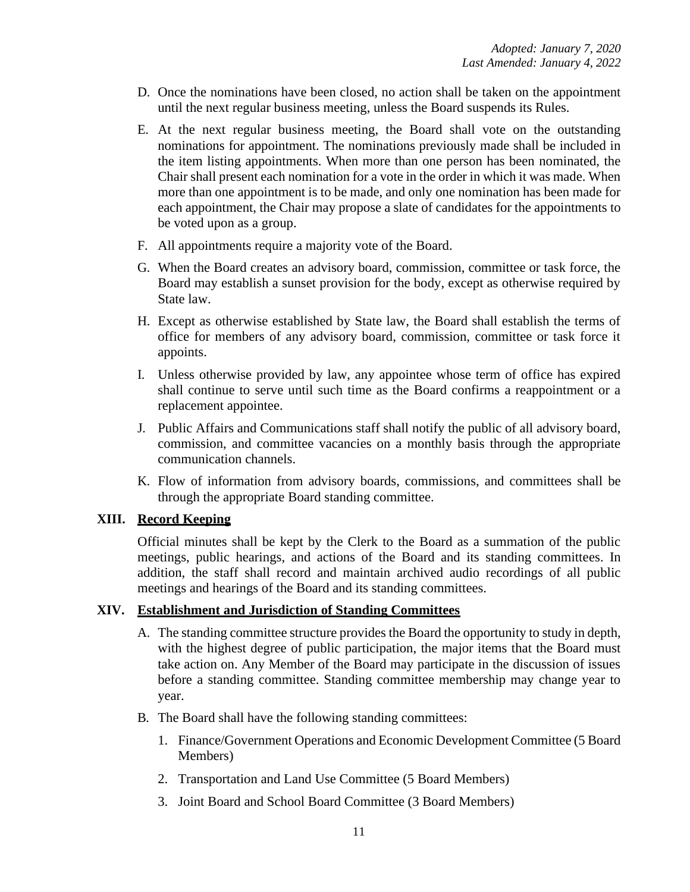- D. Once the nominations have been closed, no action shall be taken on the appointment until the next regular business meeting, unless the Board suspends its Rules.
- E. At the next regular business meeting, the Board shall vote on the outstanding nominations for appointment. The nominations previously made shall be included in the item listing appointments. When more than one person has been nominated, the Chair shall present each nomination for a vote in the order in which it was made. When more than one appointment is to be made, and only one nomination has been made for each appointment, the Chair may propose a slate of candidates for the appointments to be voted upon as a group.
- F. All appointments require a majority vote of the Board.
- G. When the Board creates an advisory board, commission, committee or task force, the Board may establish a sunset provision for the body, except as otherwise required by State law.
- H. Except as otherwise established by State law, the Board shall establish the terms of office for members of any advisory board, commission, committee or task force it appoints.
- I. Unless otherwise provided by law, any appointee whose term of office has expired shall continue to serve until such time as the Board confirms a reappointment or a replacement appointee.
- J. Public Affairs and Communications staff shall notify the public of all advisory board, commission, and committee vacancies on a monthly basis through the appropriate communication channels.
- K. Flow of information from advisory boards, commissions, and committees shall be through the appropriate Board standing committee.

## **XIII. Record Keeping**

Official minutes shall be kept by the Clerk to the Board as a summation of the public meetings, public hearings, and actions of the Board and its standing committees. In addition, the staff shall record and maintain archived audio recordings of all public meetings and hearings of the Board and its standing committees.

## **XIV. Establishment and Jurisdiction of Standing Committees**

- A. The standing committee structure provides the Board the opportunity to study in depth, with the highest degree of public participation, the major items that the Board must take action on. Any Member of the Board may participate in the discussion of issues before a standing committee. Standing committee membership may change year to year.
- B. The Board shall have the following standing committees:
	- 1. Finance/Government Operations and Economic Development Committee (5 Board Members)
	- 2. Transportation and Land Use Committee (5 Board Members)
	- 3. Joint Board and School Board Committee (3 Board Members)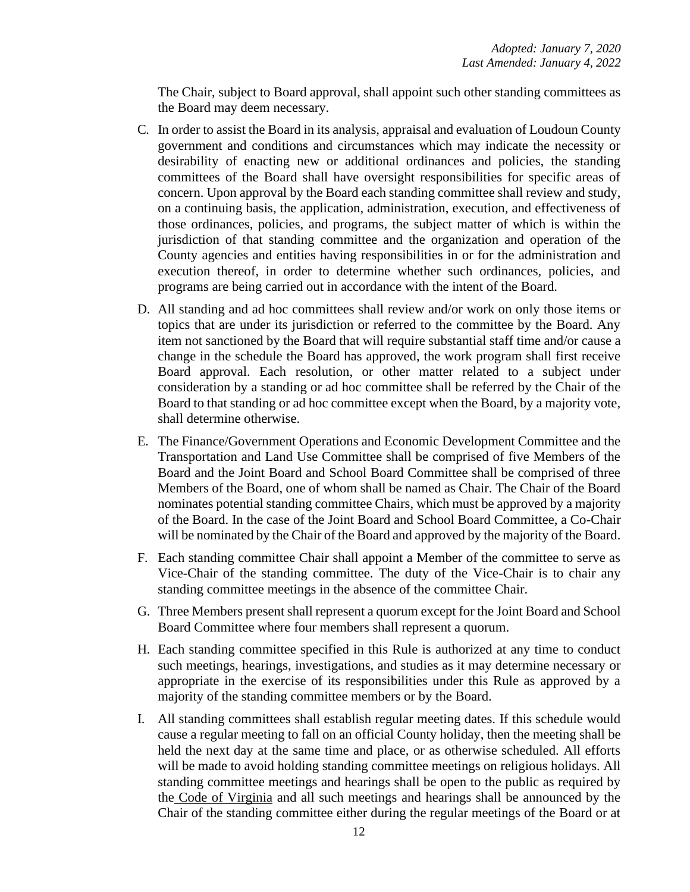The Chair, subject to Board approval, shall appoint such other standing committees as the Board may deem necessary.

- C. In order to assist the Board in its analysis, appraisal and evaluation of Loudoun County government and conditions and circumstances which may indicate the necessity or desirability of enacting new or additional ordinances and policies, the standing committees of the Board shall have oversight responsibilities for specific areas of concern. Upon approval by the Board each standing committee shall review and study, on a continuing basis, the application, administration, execution, and effectiveness of those ordinances, policies, and programs, the subject matter of which is within the jurisdiction of that standing committee and the organization and operation of the County agencies and entities having responsibilities in or for the administration and execution thereof, in order to determine whether such ordinances, policies, and programs are being carried out in accordance with the intent of the Board.
- D. All standing and ad hoc committees shall review and/or work on only those items or topics that are under its jurisdiction or referred to the committee by the Board. Any item not sanctioned by the Board that will require substantial staff time and/or cause a change in the schedule the Board has approved, the work program shall first receive Board approval. Each resolution, or other matter related to a subject under consideration by a standing or ad hoc committee shall be referred by the Chair of the Board to that standing or ad hoc committee except when the Board, by a majority vote, shall determine otherwise.
- E. The Finance/Government Operations and Economic Development Committee and the Transportation and Land Use Committee shall be comprised of five Members of the Board and the Joint Board and School Board Committee shall be comprised of three Members of the Board, one of whom shall be named as Chair. The Chair of the Board nominates potential standing committee Chairs, which must be approved by a majority of the Board. In the case of the Joint Board and School Board Committee, a Co-Chair will be nominated by the Chair of the Board and approved by the majority of the Board.
- F. Each standing committee Chair shall appoint a Member of the committee to serve as Vice-Chair of the standing committee. The duty of the Vice-Chair is to chair any standing committee meetings in the absence of the committee Chair.
- G. Three Members present shall represent a quorum except for the Joint Board and School Board Committee where four members shall represent a quorum.
- H. Each standing committee specified in this Rule is authorized at any time to conduct such meetings, hearings, investigations, and studies as it may determine necessary or appropriate in the exercise of its responsibilities under this Rule as approved by a majority of the standing committee members or by the Board.
- I. All standing committees shall establish regular meeting dates. If this schedule would cause a regular meeting to fall on an official County holiday, then the meeting shall be held the next day at the same time and place, or as otherwise scheduled. All efforts will be made to avoid holding standing committee meetings on religious holidays. All standing committee meetings and hearings shall be open to the public as required by the Code of Virginia and all such meetings and hearings shall be announced by the Chair of the standing committee either during the regular meetings of the Board or at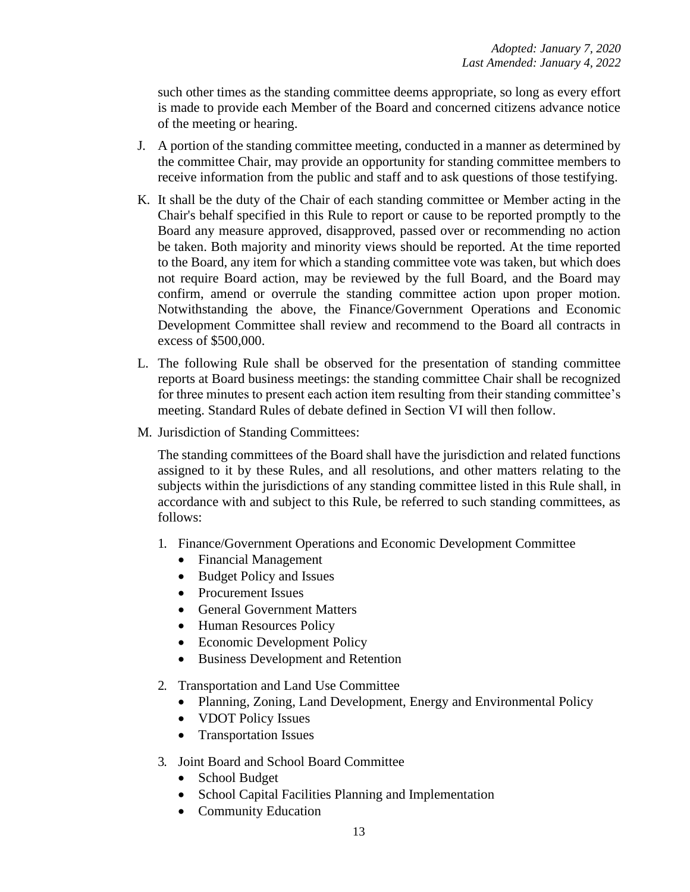such other times as the standing committee deems appropriate, so long as every effort is made to provide each Member of the Board and concerned citizens advance notice of the meeting or hearing.

- J. A portion of the standing committee meeting, conducted in a manner as determined by the committee Chair, may provide an opportunity for standing committee members to receive information from the public and staff and to ask questions of those testifying.
- K. It shall be the duty of the Chair of each standing committee or Member acting in the Chair's behalf specified in this Rule to report or cause to be reported promptly to the Board any measure approved, disapproved, passed over or recommending no action be taken. Both majority and minority views should be reported. At the time reported to the Board, any item for which a standing committee vote was taken, but which does not require Board action, may be reviewed by the full Board, and the Board may confirm, amend or overrule the standing committee action upon proper motion. Notwithstanding the above, the Finance/Government Operations and Economic Development Committee shall review and recommend to the Board all contracts in excess of \$500,000.
- L. The following Rule shall be observed for the presentation of standing committee reports at Board business meetings: the standing committee Chair shall be recognized for three minutes to present each action item resulting from their standing committee's meeting. Standard Rules of debate defined in Section VI will then follow.
- M. Jurisdiction of Standing Committees:

The standing committees of the Board shall have the jurisdiction and related functions assigned to it by these Rules, and all resolutions, and other matters relating to the subjects within the jurisdictions of any standing committee listed in this Rule shall, in accordance with and subject to this Rule, be referred to such standing committees, as follows:

- 1. Finance/Government Operations and Economic Development Committee
	- Financial Management
	- Budget Policy and Issues
	- Procurement Issues
	- General Government Matters
	- Human Resources Policy
	- Economic Development Policy
	- Business Development and Retention
- 2. Transportation and Land Use Committee
	- Planning, Zoning, Land Development, Energy and Environmental Policy
	- VDOT Policy Issues
	- Transportation Issues
- 3. Joint Board and School Board Committee
	- School Budget
	- School Capital Facilities Planning and Implementation
	- Community Education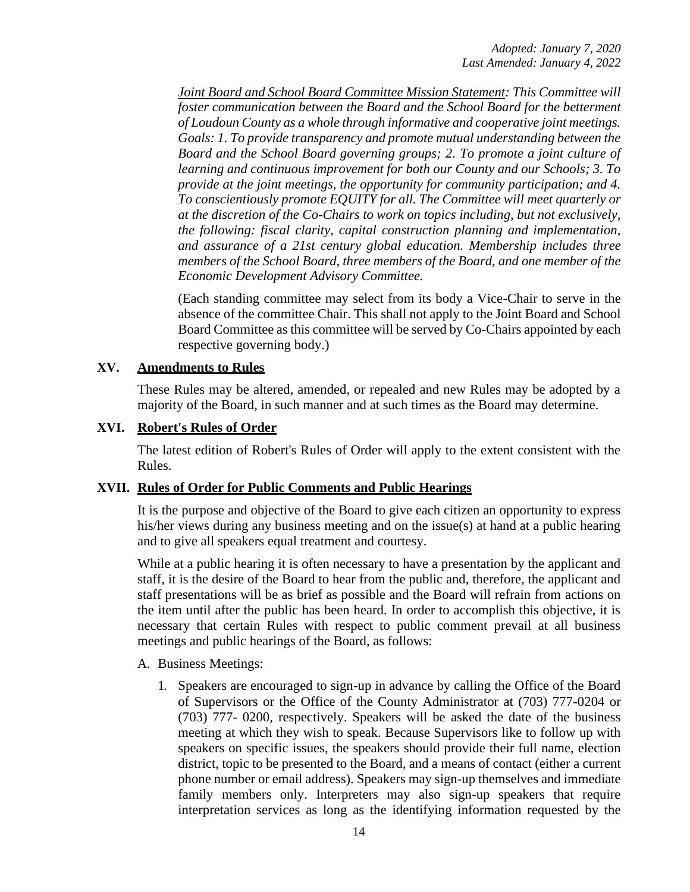*Joint Board and School Board Committee Mission Statement: This Committee will foster communication between the Board and the School Board for the betterment of Loudoun County as a whole through informative and cooperative joint meetings. Goals: 1. To provide transparency and promote mutual understanding between the Board and the School Board governing groups; 2. To promote a joint culture of learning and continuous improvement for both our County and our Schools; 3. To provide at the joint meetings, the opportunity for community participation; and 4. To conscientiously promote EQUITY for all. The Committee will meet quarterly or at the discretion of the Co-Chairs to work on topics including, but not exclusively, the following: fiscal clarity, capital construction planning and implementation, and assurance of a 21st century global education. Membership includes three members of the School Board, three members of the Board, and one member of the Economic Development Advisory Committee.*

(Each standing committee may select from its body a Vice-Chair to serve in the absence of the committee Chair. This shall not apply to the Joint Board and School Board Committee as this committee will be served by Co-Chairs appointed by each respective governing body.)

# **XV. Amendments to Rules**

These Rules may be altered, amended, or repealed and new Rules may be adopted by a majority of the Board, in such manner and at such times as the Board may determine.

### **XVI. Robert's Rules of Order**

The latest edition of Robert's Rules of Order will apply to the extent consistent with the Rules.

## **XVII. Rules of Order for Public Comments and Public Hearings**

It is the purpose and objective of the Board to give each citizen an opportunity to express his/her views during any business meeting and on the issue(s) at hand at a public hearing and to give all speakers equal treatment and courtesy.

While at a public hearing it is often necessary to have a presentation by the applicant and staff, it is the desire of the Board to hear from the public and, therefore, the applicant and staff presentations will be as brief as possible and the Board will refrain from actions on the item until after the public has been heard. In order to accomplish this objective, it is necessary that certain Rules with respect to public comment prevail at all business meetings and public hearings of the Board, as follows:

#### A. Business Meetings:

1. Speakers are encouraged to sign-up in advance by calling the Office of the Board of Supervisors or the Office of the County Administrator at (703) 777-0204 or (703) 777- 0200, respectively. Speakers will be asked the date of the business meeting at which they wish to speak. Because Supervisors like to follow up with speakers on specific issues, the speakers should provide their full name, election district, topic to be presented to the Board, and a means of contact (either a current phone number or email address). Speakers may sign-up themselves and immediate family members only. Interpreters may also sign-up speakers that require interpretation services as long as the identifying information requested by the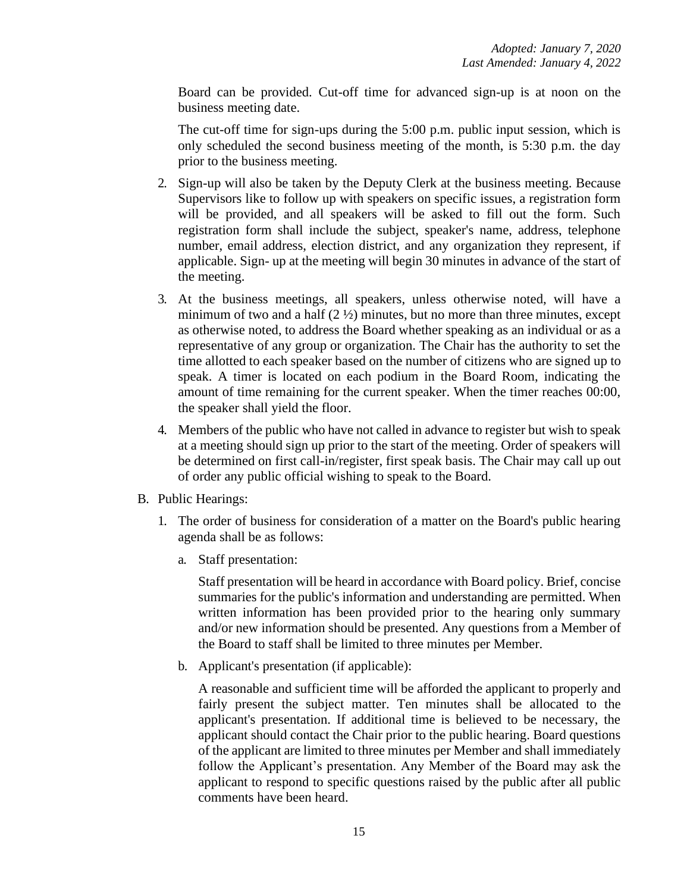Board can be provided. Cut-off time for advanced sign-up is at noon on the business meeting date.

The cut-off time for sign-ups during the 5:00 p.m. public input session, which is only scheduled the second business meeting of the month, is 5:30 p.m. the day prior to the business meeting.

- 2. Sign-up will also be taken by the Deputy Clerk at the business meeting. Because Supervisors like to follow up with speakers on specific issues, a registration form will be provided, and all speakers will be asked to fill out the form. Such registration form shall include the subject, speaker's name, address, telephone number, email address, election district, and any organization they represent, if applicable. Sign- up at the meeting will begin 30 minutes in advance of the start of the meeting.
- 3. At the business meetings, all speakers, unless otherwise noted, will have a minimum of two and a half  $(2 \frac{1}{2})$  minutes, but no more than three minutes, except as otherwise noted, to address the Board whether speaking as an individual or as a representative of any group or organization. The Chair has the authority to set the time allotted to each speaker based on the number of citizens who are signed up to speak. A timer is located on each podium in the Board Room, indicating the amount of time remaining for the current speaker. When the timer reaches 00:00, the speaker shall yield the floor.
- 4. Members of the public who have not called in advance to register but wish to speak at a meeting should sign up prior to the start of the meeting. Order of speakers will be determined on first call-in/register, first speak basis. The Chair may call up out of order any public official wishing to speak to the Board.
- B. Public Hearings:
	- 1. The order of business for consideration of a matter on the Board's public hearing agenda shall be as follows:
		- a. Staff presentation:

Staff presentation will be heard in accordance with Board policy. Brief, concise summaries for the public's information and understanding are permitted. When written information has been provided prior to the hearing only summary and/or new information should be presented. Any questions from a Member of the Board to staff shall be limited to three minutes per Member.

b. Applicant's presentation (if applicable):

A reasonable and sufficient time will be afforded the applicant to properly and fairly present the subject matter. Ten minutes shall be allocated to the applicant's presentation. If additional time is believed to be necessary, the applicant should contact the Chair prior to the public hearing. Board questions of the applicant are limited to three minutes per Member and shall immediately follow the Applicant's presentation. Any Member of the Board may ask the applicant to respond to specific questions raised by the public after all public comments have been heard.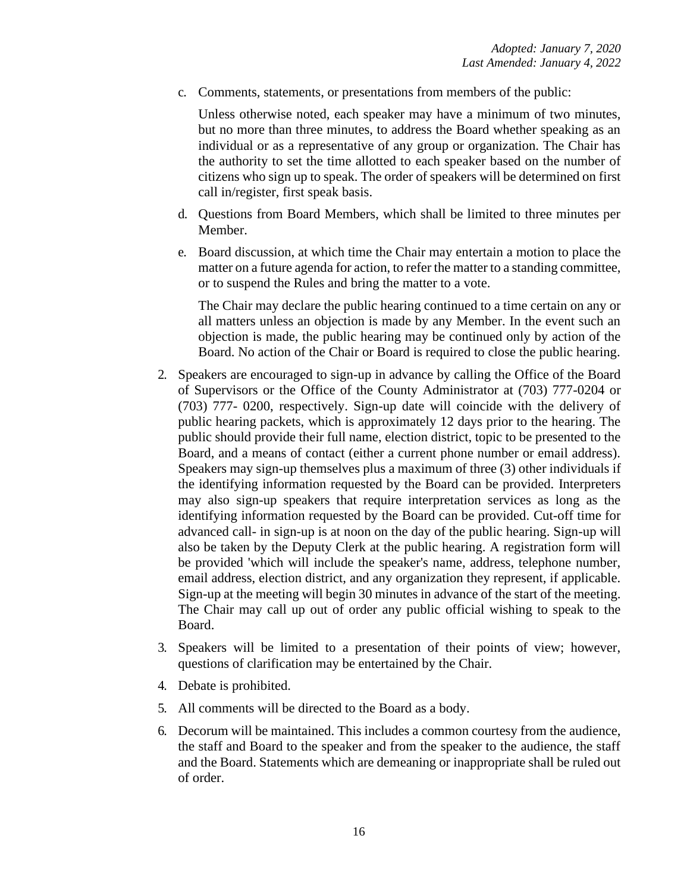c. Comments, statements, or presentations from members of the public:

Unless otherwise noted, each speaker may have a minimum of two minutes, but no more than three minutes, to address the Board whether speaking as an individual or as a representative of any group or organization. The Chair has the authority to set the time allotted to each speaker based on the number of citizens who sign up to speak. The order of speakers will be determined on first call in/register, first speak basis.

- d. Questions from Board Members, which shall be limited to three minutes per Member.
- e. Board discussion, at which time the Chair may entertain a motion to place the matter on a future agenda for action, to refer the matter to a standing committee, or to suspend the Rules and bring the matter to a vote.

The Chair may declare the public hearing continued to a time certain on any or all matters unless an objection is made by any Member. In the event such an objection is made, the public hearing may be continued only by action of the Board. No action of the Chair or Board is required to close the public hearing.

- 2. Speakers are encouraged to sign-up in advance by calling the Office of the Board of Supervisors or the Office of the County Administrator at (703) 777-0204 or (703) 777- 0200, respectively. Sign-up date will coincide with the delivery of public hearing packets, which is approximately 12 days prior to the hearing. The public should provide their full name, election district, topic to be presented to the Board, and a means of contact (either a current phone number or email address). Speakers may sign-up themselves plus a maximum of three (3) other individuals if the identifying information requested by the Board can be provided. Interpreters may also sign-up speakers that require interpretation services as long as the identifying information requested by the Board can be provided. Cut-off time for advanced call- in sign-up is at noon on the day of the public hearing. Sign-up will also be taken by the Deputy Clerk at the public hearing. A registration form will be provided 'which will include the speaker's name, address, telephone number, email address, election district, and any organization they represent, if applicable. Sign-up at the meeting will begin 30 minutes in advance of the start of the meeting. The Chair may call up out of order any public official wishing to speak to the Board.
- 3. Speakers will be limited to a presentation of their points of view; however, questions of clarification may be entertained by the Chair.
- 4. Debate is prohibited.
- 5. All comments will be directed to the Board as a body.
- 6. Decorum will be maintained. This includes a common courtesy from the audience, the staff and Board to the speaker and from the speaker to the audience, the staff and the Board. Statements which are demeaning or inappropriate shall be ruled out of order.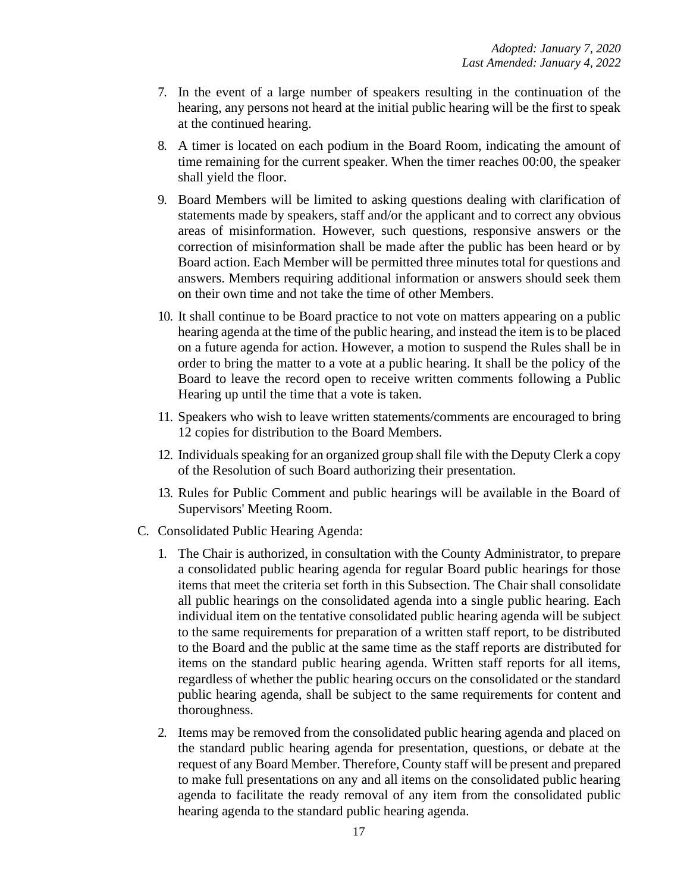- 7. In the event of a large number of speakers resulting in the continuation of the hearing, any persons not heard at the initial public hearing will be the first to speak at the continued hearing.
- 8. A timer is located on each podium in the Board Room, indicating the amount of time remaining for the current speaker. When the timer reaches 00:00, the speaker shall yield the floor.
- 9. Board Members will be limited to asking questions dealing with clarification of statements made by speakers, staff and/or the applicant and to correct any obvious areas of misinformation. However, such questions, responsive answers or the correction of misinformation shall be made after the public has been heard or by Board action. Each Member will be permitted three minutes total for questions and answers. Members requiring additional information or answers should seek them on their own time and not take the time of other Members.
- 10. It shall continue to be Board practice to not vote on matters appearing on a public hearing agenda at the time of the public hearing, and instead the item is to be placed on a future agenda for action. However, a motion to suspend the Rules shall be in order to bring the matter to a vote at a public hearing. It shall be the policy of the Board to leave the record open to receive written comments following a Public Hearing up until the time that a vote is taken.
- 11. Speakers who wish to leave written statements/comments are encouraged to bring 12 copies for distribution to the Board Members.
- 12. Individuals speaking for an organized group shall file with the Deputy Clerk a copy of the Resolution of such Board authorizing their presentation.
- 13. Rules for Public Comment and public hearings will be available in the Board of Supervisors' Meeting Room.
- C. Consolidated Public Hearing Agenda:
	- 1. The Chair is authorized, in consultation with the County Administrator, to prepare a consolidated public hearing agenda for regular Board public hearings for those items that meet the criteria set forth in this Subsection. The Chair shall consolidate all public hearings on the consolidated agenda into a single public hearing. Each individual item on the tentative consolidated public hearing agenda will be subject to the same requirements for preparation of a written staff report, to be distributed to the Board and the public at the same time as the staff reports are distributed for items on the standard public hearing agenda. Written staff reports for all items, regardless of whether the public hearing occurs on the consolidated or the standard public hearing agenda, shall be subject to the same requirements for content and thoroughness.
	- 2. Items may be removed from the consolidated public hearing agenda and placed on the standard public hearing agenda for presentation, questions, or debate at the request of any Board Member. Therefore, County staff will be present and prepared to make full presentations on any and all items on the consolidated public hearing agenda to facilitate the ready removal of any item from the consolidated public hearing agenda to the standard public hearing agenda.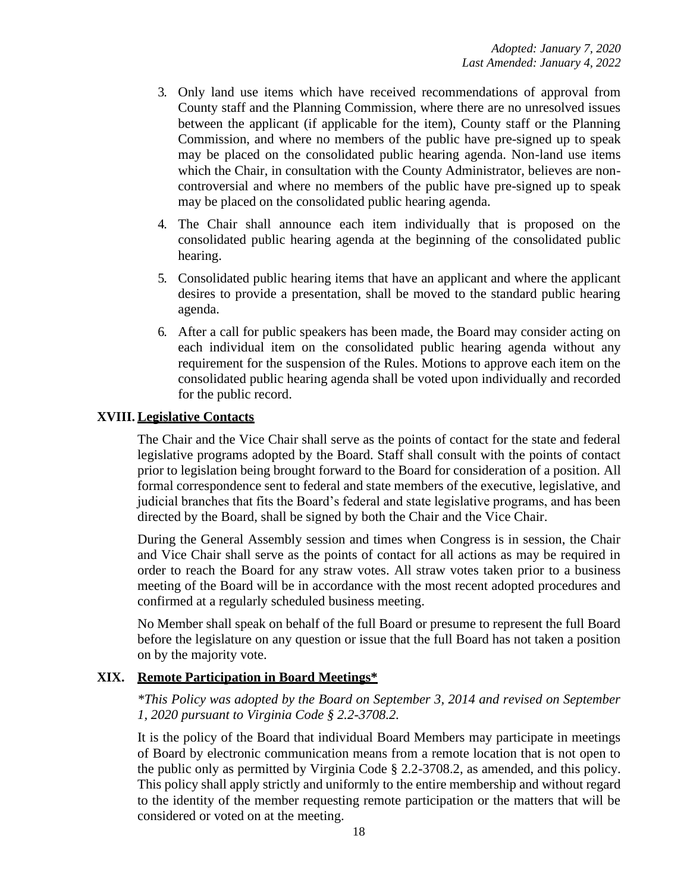- 3. Only land use items which have received recommendations of approval from County staff and the Planning Commission, where there are no unresolved issues between the applicant (if applicable for the item), County staff or the Planning Commission, and where no members of the public have pre-signed up to speak may be placed on the consolidated public hearing agenda. Non-land use items which the Chair, in consultation with the County Administrator, believes are noncontroversial and where no members of the public have pre-signed up to speak may be placed on the consolidated public hearing agenda.
- 4. The Chair shall announce each item individually that is proposed on the consolidated public hearing agenda at the beginning of the consolidated public hearing.
- 5. Consolidated public hearing items that have an applicant and where the applicant desires to provide a presentation, shall be moved to the standard public hearing agenda.
- 6. After a call for public speakers has been made, the Board may consider acting on each individual item on the consolidated public hearing agenda without any requirement for the suspension of the Rules. Motions to approve each item on the consolidated public hearing agenda shall be voted upon individually and recorded for the public record.

### **XVIII. Legislative Contacts**

The Chair and the Vice Chair shall serve as the points of contact for the state and federal legislative programs adopted by the Board. Staff shall consult with the points of contact prior to legislation being brought forward to the Board for consideration of a position. All formal correspondence sent to federal and state members of the executive, legislative, and judicial branches that fits the Board's federal and state legislative programs, and has been directed by the Board, shall be signed by both the Chair and the Vice Chair.

During the General Assembly session and times when Congress is in session, the Chair and Vice Chair shall serve as the points of contact for all actions as may be required in order to reach the Board for any straw votes. All straw votes taken prior to a business meeting of the Board will be in accordance with the most recent adopted procedures and confirmed at a regularly scheduled business meeting.

No Member shall speak on behalf of the full Board or presume to represent the full Board before the legislature on any question or issue that the full Board has not taken a position on by the majority vote.

#### **XIX. Remote Participation in Board Meetings\***

*\*This Policy was adopted by the Board on September 3, 2014 and revised on September 1, 2020 pursuant to Virginia Code § 2.2-3708.2.*

It is the policy of the Board that individual Board Members may participate in meetings of Board by electronic communication means from a remote location that is not open to the public only as permitted by Virginia Code § 2.2-3708.2, as amended, and this policy. This policy shall apply strictly and uniformly to the entire membership and without regard to the identity of the member requesting remote participation or the matters that will be considered or voted on at the meeting.